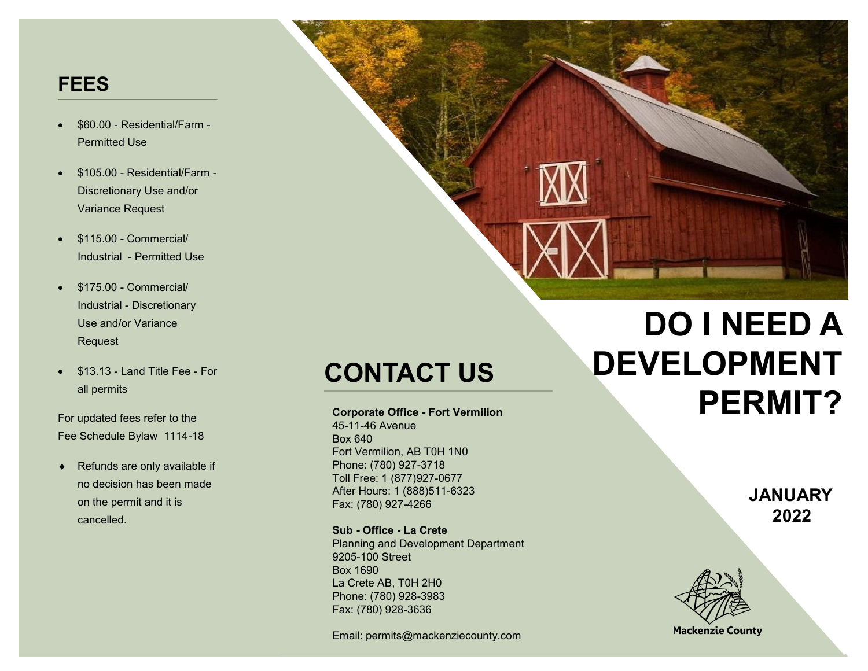# **FEES**

- \$60.00 Residential/Farm Permitted Use
- \$105.00 Residential/Farm Discretionary Use and/or Variance Request
- \$115.00 Commercial/ Industrial - Permitted Use
- \$175.00 Commercial/ Industrial - Discretionary Use and/or Variance Request
- \$13.13 Land Title Fee For all permits

For updated fees refer to the Fee Schedule Bylaw 1114-18

 $\leftarrow$  Refunds are only available if no decision has been made on the permit and it is cancelled.

# **CONTACT US**

**Corporate Office - Fort Vermilion**

45-11-46 Avenue Box 640 Fort Vermilion, AB T0H 1N0 Phone: (780) 927-3718 Toll Free: 1 (877)927-0677 After Hours: 1 (888)511-6323 Fax: (780) 927-4266

**Sub - Office - La Crete** Planning and Development Department 9205-100 Street Box 1690 La Crete AB, T0H 2H0 Phone: (780) 928-3983 Fax: (780) 928-3636

Email: permits@mackenziecounty.com

# **DO I NEED A DEVELOPMENT PERMIT?**

**JANUARY 2022**



**Mackenzie County**